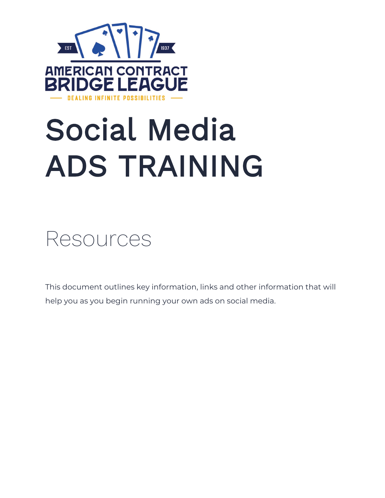

# Social Media ADS TRAINING



This document outlines key information, links and other information that will help you as you begin running your own ads on social media.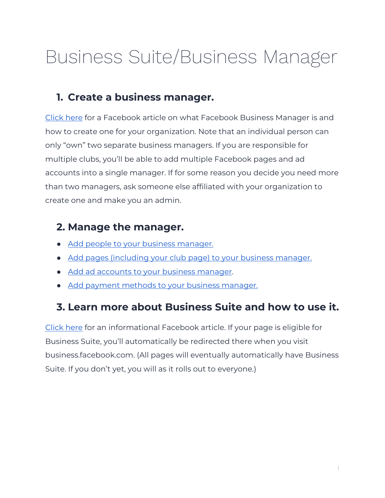# Business Suite/Business Manager

## **1. Create a business manager.**

[Click here](https://www.facebookblueprint.com/student/activity/212727?id=180505742745347) for a Facebook article on what Facebook Business Manager is and how to create one for your organization. Note that an individual person can only "own" two separate business managers. If you are responsible for multiple clubs, you'll be able to add multiple Facebook pages and ad accounts into a single manager. If for some reason you decide you need more than two managers, ask someone else affiliated with your organization to create one and make you an admin.

## **2. Manage the manager.**

- Add people to your business manager.
- [Add pages \(including your club page\) to your business manager.](https://www.facebook.com/business/help/170456843145568?id=420299598837059)
- [Add ad accounts to your business manager.](https://www.facebook.com/business/help/440167386536513?id=420299598837059)
- [Add payment methods to your business manager.](https://www.facebookblueprint.com/student/activity/194935-overview-of-lookalike-audiences?id=180505742745347)

# **3. Learn more about Business Suite and how to use it.**

[Click here](https://www.facebook.com/business/help/205614130852988?id=765488040896522) for an informational Facebook article. If your page is eligible for Business Suite, you'll automatically be redirected there when you visit business.facebook.com. (All pages will eventually automatically have Business Suite. If you don't yet, you will as it rolls out to everyone.)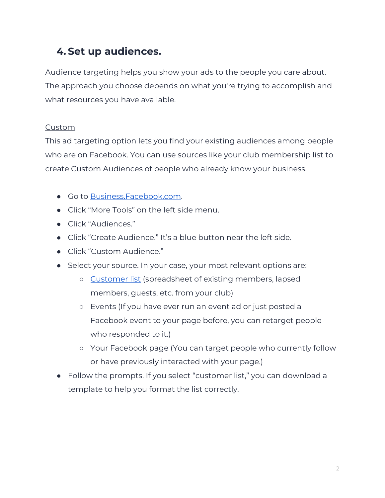# **4. Set up audiences.**

Audience targeting helps you show your ads to the people you care about. The approach you choose depends on what you're trying to accomplish and what resources you have available.

#### Custom

This ad targeting option lets you find your existing audiences among people who are on Facebook. You can use sources like your club membership list to create Custom Audiences of people who already know your business.

- Go to **Business.Facebook.com.**
- Click "More Tools" on the left side menu.
- Click "Audiences."
- Click "Create Audience." It's a blue button near the left side.
- Click "Custom Audience."
- Select your source. In your case, your most relevant options are:
	- [Customer list](https://www.facebook.com/business/help/910137316041095?id=2469097953376494) (spreadsheet of existing members, lapsed members, guests, etc. from your club)
	- Events (If you have ever run an event ad or just posted a Facebook event to your page before, you can retarget people who responded to it.)
	- Your Facebook page (You can target people who currently follow or have previously interacted with your page.)
- Follow the prompts. If you select "customer list," you can download a template to help you format the list correctly.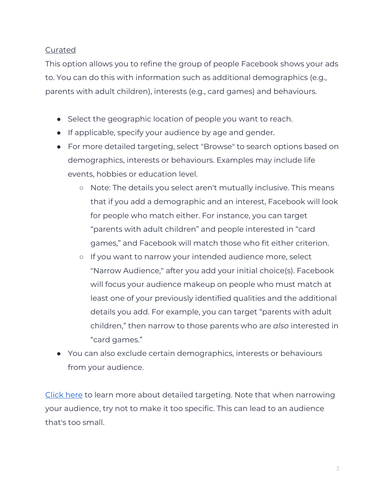#### **Curated**

This option allows you to refine the group of people Facebook shows your ads to. You can do this with information such as additional demographics (e.g., parents with adult children), interests (e.g., card games) and behaviours.

- Select the geographic location of people you want to reach.
- If applicable, specify your audience by age and gender.
- For more detailed targeting, select "Browse" to search options based on demographics, interests or behaviours. Examples may include life events, hobbies or education level.
	- Note: The details you select aren't mutually inclusive. This means that if you add a demographic and an interest, Facebook will look for people who match either. For instance, you can target "parents with adult children" and people interested in "card games," and Facebook will match those who fit either criterion.
	- If you want to narrow your intended audience more, select "Narrow Audience," after you add your initial choice(s). Facebook will focus your audience makeup on people who must match at least one of your previously identified qualities and the additional details you add. For example, you can target "parents with adult children," then narrow to those parents who are *also* interested in "card games."
- You can also exclude certain demographics, interests or behaviours from your audience.

[Click here](https://www.facebook.com/business/help/915454841921082?id=176276233019487) to learn more about detailed targeting. Note that when narrowing your audience, try not to make it too specific. This can lead to an audience that's too small.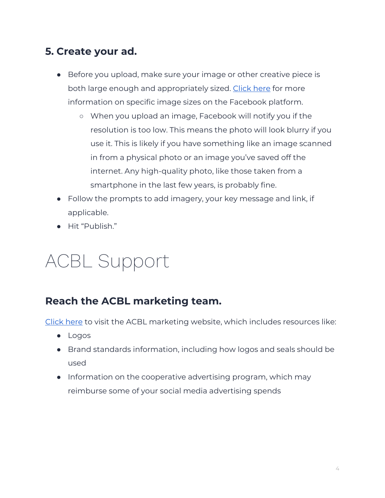### **5. Create your ad.**

- Before you upload, make sure your image or other creative piece is both large enough and appropriately sized. [Click here](https://www.facebookblueprint.com/student/path/189425-boost-your-marketing-with-facebook-pixel) for more information on specific image sizes on the Facebook platform.
	- When you upload an image, Facebook will notify you if the resolution is too low. This means the photo will look blurry if you use it. This is likely if you have something like an image scanned in from a physical photo or an image you've saved off the internet. Any high-quality photo, like those taken from a smartphone in the last few years, is probably fine.
- Follow the prompts to add imagery, your key message and link, if applicable.
- Hit "Publish."

# ACBL Support

### **Reach the ACBL marketing team.**

[Click here](https://www.acbl.org/marketing/) to visit the ACBL marketing website, which includes resources like:

- Logos
- Brand standards information, including how logos and seals should be used
- Information on the cooperative advertising program, which may reimburse some of your social media advertising spends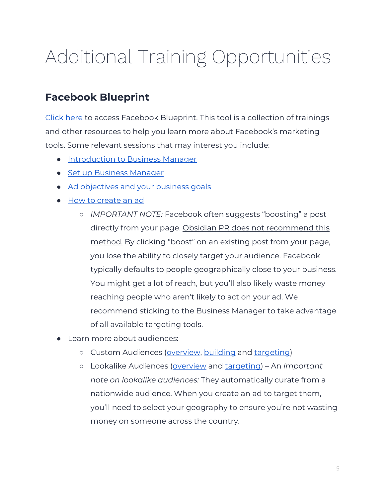# Additional Training Opportunities

# **Facebook Blueprint**

[Click here](https://www.facebookblueprint.com/student/activity/212723) to access Facebook Blueprint. This tool is a collection of trainings and other resources to help you learn more about Facebook's marketing tools. Some relevant sessions that may interest you include:

- [Introduction to Business Manager](https://www.facebook.com/business/ads-guide/image/facebook-feed/traffic?sid=2764785&sid_i=6)
- [Set up Business Manager](https://www.facebookblueprint.com/student/activity/196102-set-up-business-manager?sid=2764785&sid_i=8)
- [Ad objectives and your business goals](https://www.facebookblueprint.com/student/activity/212737-get-started-with-the-facebook-pixel?ref=cms_redirect#/page/5fc6e3074a46d349e9dfedbf)
- How to create an ad
	- *IMPORTANT NOTE:* Facebook often suggests "boosting" a post directly from your page. Obsidian PR does not recommend this method. By clicking "boost" on an existing post from your page, you lose the ability to closely target your audience. Facebook typically defaults to people geographically close to your business. You might get a lot of reach, but you'll also likely waste money reaching people who aren't likely to act on your ad. We recommend sticking to the Business Manager to take advantage of all available targeting tools.
- Learn more about audiences:
	- o Custom Audiences [\(overview,](https://www.facebookblueprint.com/student/activity/196101-introduction-to-business-manager?sid=2764779&sid_i=1) [building](https://www.facebook.com/business/help/1710077379203657?sid=2764779&sid_i=3) and [targeting\)](https://www.facebookblueprint.com/student/path/196014-targeting-custom-audiences?sid=2764779&sid_i=0)
	- Lookalike Audiences [\(overview](https://www.facebook.com/business/help/2169003770027706?sid=2764779&sid_i=9) and [targeting\)](https://www.facebookblueprint.com/student/activity/189422-create-and-install-the-facebook-pixel?sid=2764779&sid_i=10) An *important note on lookalike audiences:* They automatically curate from a nationwide audience. When you create an ad to target them, you'll need to select your geography to ensure you're not wasting money on someone across the country.